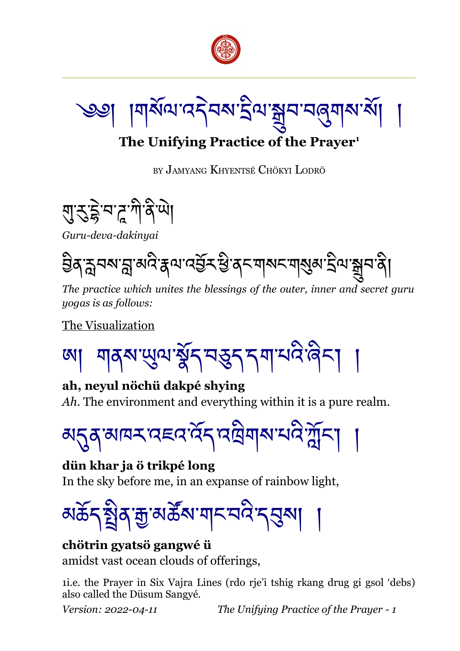

।୩ୖଽଏଏ' ଏକ୍ସିସିଏ' ବାସ୍ତ୍ର ।

# **The Unifying Practice of the Prayer[1](#page-0-0)**

BY JAMYANG KHYENTSÉ CHÖKYI LODRÖ



*Guru-deva-dakinyai*

<u>ਉ</u>ੱਕਾਨੁੱਖਕਾਈਡਾਕੁਲੇਟ ਬਾਹਰ ਕੀਤੀ ਕੀਤਾ ਕੀਤਾ ਕੀਤੀ ਸ਼ਹਿਰ ਸ਼ਹਿਰ ਸ਼ਹਿਰ ਸ਼ਹਿਰ ਸ਼ਹਿਰ ਸ਼ਹਿਰ ਸ਼ਹਿਰ ਸ਼ਹਿਰ ਸ਼ਹਿਰ ਸ਼ਹਿਰ ਸ਼ਹਿਰ

*The practice which unites the blessings of the outer, inner and secret guru yogas is as follows:*

The Visualization

<u>য়</u>ঀৠ শ্রুষ মুইন ব্রম নামন্ত্রী

**ah, neyul nöchü dakpé shying** *Ah*. The environment and everything within it is a pure realm.



**dün khar ja ö trikpé long** In the sky before me, in an expanse of rainbow light,

<u>য়৳৲য়ৣ৾ঀৠয়ৣ৽য়ড়ড়৸ৼঢ়ড়ড়৸ঢ়৻</u>

#### **chötrin gyatsö gangwé ü** amidst vast ocean clouds of offerings,

<span id="page-0-0"></span>1i.e. the Prayer in Six Vajra Lines (rdo rje'i tshig rkang drug gi gsol 'debs) also called the Düsum Sangyé.

*Version: 2022-04-11 The Unifying Practice of the Prayer - 1*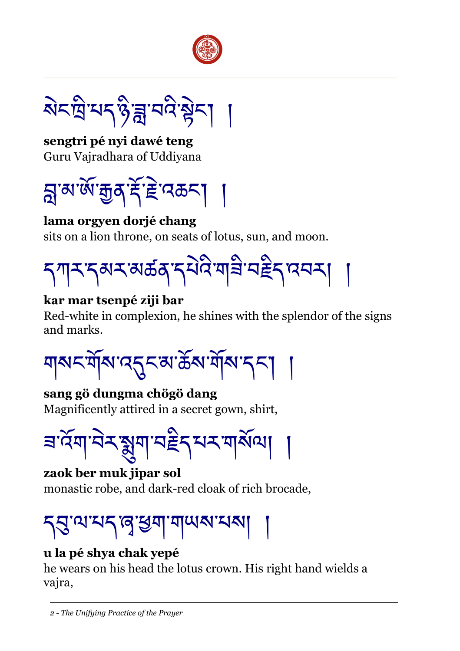

য়ৼঢ়ড়৸ৼঀৼ৻৸ৼ৸ৼ

**sengtri pé nyi dawé teng** Guru Vajradhara of Uddiyana



**lama orgyen dorjé chang** sits on a lion throne, on seats of lotus, sun, and moon.



#### **kar mar tsenpé ziji bar**

Red-white in complexion, he shines with the splendor of the signs and marks.

ঘামনর্ঘীম'ন্নুনম'ক্রঁম'শাঁম'ন্না

**sang gö dungma chögö dang** Magnificently attired in a secret gown, shirt,



**zaok ber muk jipar sol** monastic robe, and dark-red cloak of rich brocade,

# དབུ་ལ་པད་ཞྭ་ཕྱག་གཡས་པས། །

# **u la pé shya chak yepé**

he wears on his head the lotus crown. His right hand wields a vajra,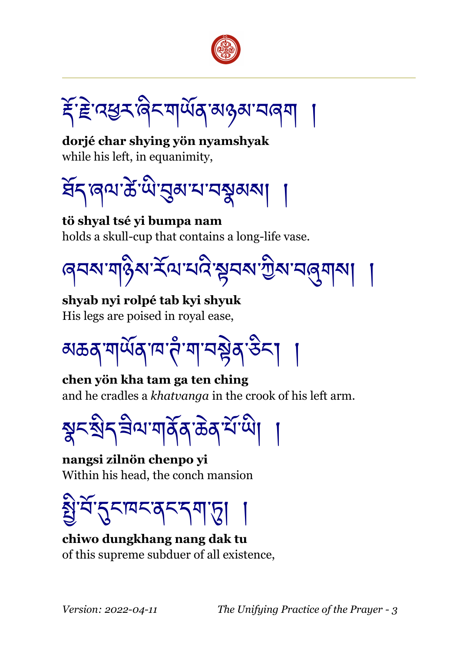

*རོ་རੇ*ॾ་འཕུར་ནེང་གལོན་མୡམ་བནག

**dorjé char shying yön nyamshyak** while his left, in equanimity,



**tö shyal tsé yi bumpa nam** holds a skull-cup that contains a long-life vase.

<u>ਫ਼েমম'মা</u>§ম'ৰ্মম'মই'ষুনম'শ্ৰীম'ন্নুমামা

**shyab nyi rolpé tab kyi shyuk** His legs are poised in royal ease,

<u>য়ঌঽৼয়ড়৻৸ৼ৸ৼ৸ৼ৸ৼ৸ৼ</u>

**chen yön kha tam ga ten ching** and he cradles a *khatvanga* in the crook of his left arm.

ৡ৲ষ্ঠিন ৰীম'মাৰ্ক্সক্টেক্সমিঁখা

**nangsi zilnön chenpo yi** Within his head, the conch mansion

য়্রিউ'ন্নম্মন্ত্র্বন্দ্রাড়া

**chiwo dungkhang nang dak tu** of this supreme subduer of all existence,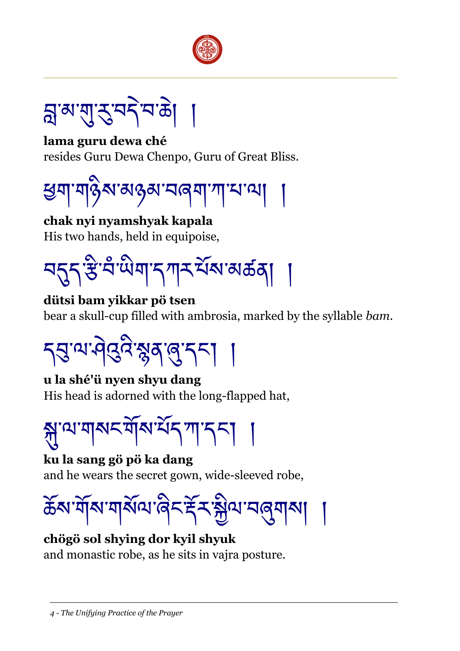



**lama guru dewa ché** resides Guru Dewa Chenpo, Guru of Great Bliss.



**chak nyi nyamshyak kapala** His two hands, held in equipoise,

<u>བདད་</u>རུ་བི་ལིག་དཀར་པོས་མঠན།

**dütsi bam yikkar pö tsen** bear a skull-cup filled with ambrosia, marked by the syllable *bam*.



**u la shé'ü nyen shyu dang** His head is adorned with the long-flapped hat,

স্ন' ম'মাৰ্ম মঁম'ৰ্ম মাৰ্শ দৰ্শ।

**ku la sang gö pö ka dang** and he wears the secret gown, wide-sleeved robe,

ক্টম'ৰ্মাম'নাৰ্মাম'ৰিনৰ্দ্নিস্মীম'নৰ্মামা

**chögö sol shying dor kyil shyuk** and monastic robe, as he sits in vajra posture.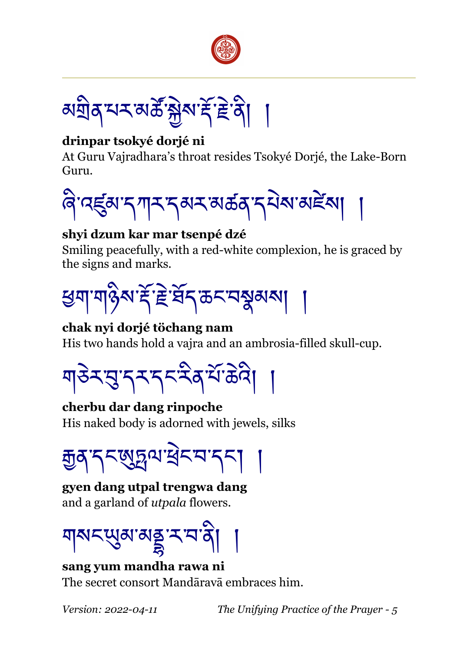

<u>য়য়৾ঀৼ৸ৼয়ড়ৢৣ৾য়৸৻ৼৄৣ৾৾৽</u>

## **drinpar tsokyé dorjé ni**

At Guru Vajradhara's throat resides Tsokyé Dorjé, the Lake-Born Guru.



#### **shyi dzum kar mar tsenpé dzé**

Smiling peacefully, with a red-white complexion, he is graced by the signs and marks.



#### **chak nyi dorjé töchang nam**

His two hands hold a vajra and an ambrosia-filled skull-cup.

ॺऻ8ेऽॱय़ुॱॸ्ऽरुऽद्दैदर्भेऽढेदे।

**cherbu dar dang rinpoche** His naked body is adorned with jewels, silks

ক্সুর্হ্মস্পুরুষামুক্স

**gyen dang utpal trengwa dang** and a garland of *utpala* flowers.

ঘ্ৰমৎখ্ৰামহুম্মৰ্গ

**sang yum mandha rawa ni** The secret consort Mandāravā embraces him.

*Version: 2022-04-11 The Unifying Practice of the Prayer - 5*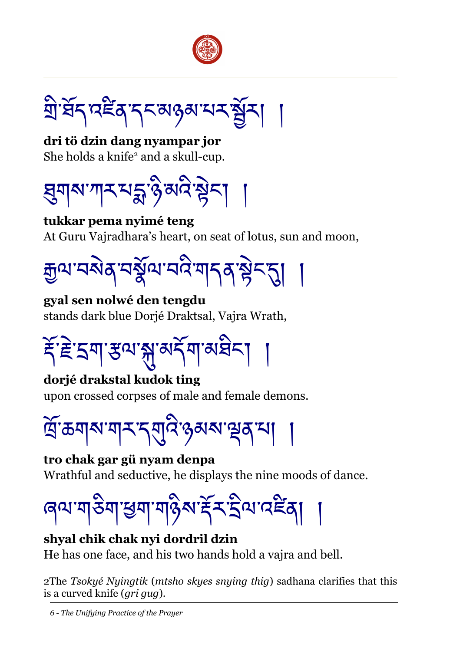

<u>ই</u>াইন দইন নকৰাওৰ মেহ ষ্ট্ৰ

**dri tö dzin dang nyampar jor** She holds a knife<sup>[2](#page-5-0)</sup> and a skull-cup.



**tukkar pema nyimé teng** At Guru Vajradhara's heart, on seat of lotus, sun and moon,



**gyal sen nolwé den tengdu** stands dark blue Dorjé Draktsal, Vajra Wrath,

<u>ॕ</u>ड़ॱॾ॓ॱऽॺॱॶॱॶॱॶड़ॴॖॱॺख़

**dorjé drakstal kudok ting** upon crossed corpses of male and female demons.

ৰ্ত্ৰিক্তম্মশস্মন শৰ্মাৰ স্বা

**tro chak gar gü nyam denpa** Wrathful and seductive, he displays the nine moods of dance.

ৰেণ্যশাভিশাস্ত্ৰশাসন্তিৰ হৈ ব্ৰিণাৰে দিব

**shyal chik chak nyi dordril dzin** He has one face, and his two hands hold a vajra and bell.

<span id="page-5-0"></span>2The *Tsokyé Nyingtik* (*mtsho skyes snying thig*) sadhana clarifies that this is a curved knife (*gri gug*).

*6 - The Unifying Practice of the Prayer*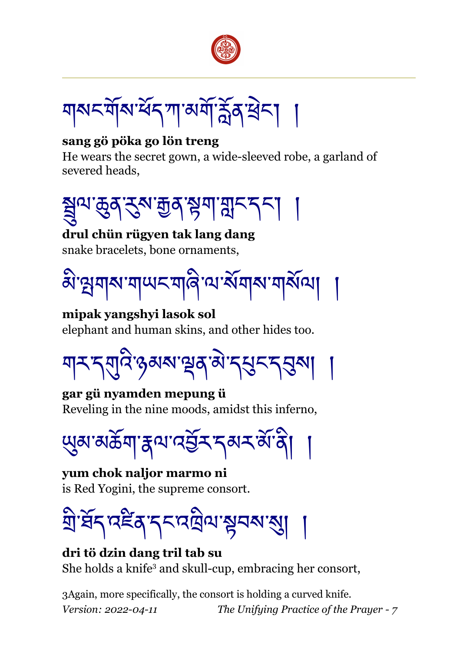

ঘামঘৰ্ষীৰ অগ্নিষ্টি না

#### **sang gö pöka go lön treng**

He wears the secret gown, a wide-sleeved robe, a garland of severed heads,



**drul chün rügyen tak lang dang** snake bracelets, bone ornaments,



**mipak yangshyi lasok sol** elephant and human skins, and other hides too.

གར་དགུའི་ཉམས་ལྡན་མེ་དཔུང་དབུས། །

**gar gü nyamden mepung ü** Reveling in the nine moods, amidst this inferno,

<u></u>ਘુਕਾਕਲੱਗ ह्वाय वर्डे्र दब्ध बॅंग्वे।

**yum chok naljor marmo ni** is Red Yogini, the supreme consort.



**dri tö dzin dang tril tab su** She holds a knife<sup>[3](#page-6-0)</sup> and skull-cup, embracing her consort,

<span id="page-6-0"></span>3Again, more specifically, the consort is holding a curved knife. *Version: 2022-04-11 The Unifying Practice of the Prayer - 7*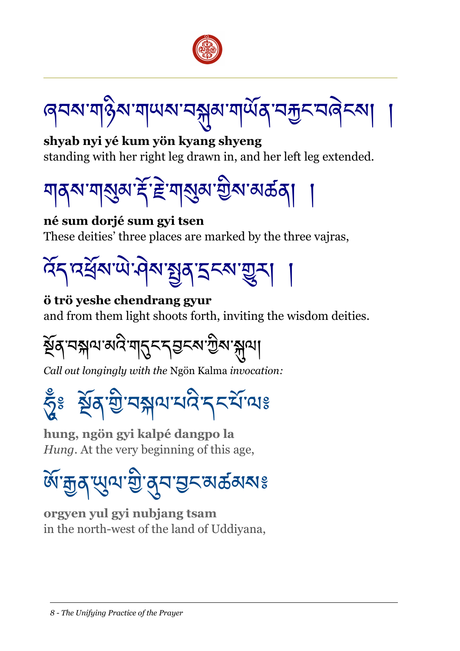

ৰ্**ন**ম'মা§ম'মা্ਘম'নন্ন্নম'মাৰ্ਘক্'নক্কুন'নৰ্দ

**shyab nyi yé kum yön kyang shyeng** standing with her right leg drawn in, and her left leg extended.



**né sum dorjé sum gyi tsen**

These deities' three places are marked by the three vajras,



#### **ö trö yeshe chendrang gyur**

and from them light shoots forth, inviting the wisdom deities.

སྔོན་བསྐལ་མའི་གདུང་དབངས་ཀྱིས་སྐུལ།

*Call out longingly with the* Ngön Kalma *invocation:*

# হ্দুঃ ষ্ট্ৰব'্শ্ৰ'বন্ন্নামানে'ন্দৰ্যাত্মঃ

**hung, ngön gyi kalpé dangpo la** *Hung*. At the very beginning of this age,

# <u>ଊ୕</u>ୢ୷ଌ୰ଈୖୢ୴ଌ୕ୖ୲<u>୶</u>ଌ୕୕ଌ୷ଌୗଌୗଌୗ

**orgyen yul gyi nubjang tsam** in the north-west of the land of Uddiyana,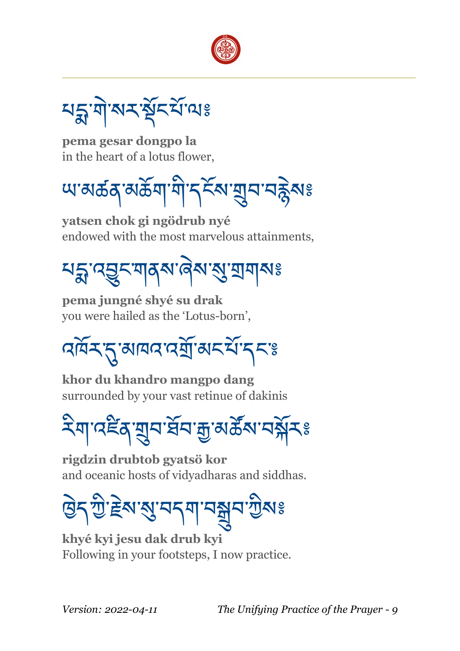

৸হ্লাৰামস্ত্ৰীৰ মাজ

**pema gesar dongpo la** in the heart of a lotus flower,

<u>౻</u>ম্ভেক্টম অসমী বিহুৱা অৰ্টু বিষ্ণ

**yatsen chok gi ngödrub nyé** endowed with the most marvelous attainments,

<u>য়ৡৼঽড়ৼয়</u>ঀ৶৽

**pema jungné shyé su drak** you were hailed as the 'Lotus-born',

বর্দিম্মু আননামমূলি আনমীত্রা

**khor du khandro mangpo dang** surrounded by your vast retinue of dakinis

རིག་འཛིན་གྲུབ་ཐསོབ་རྒྱ་མཚསོས་བསྐོར༔

**rigdzin drubtob gyatsö kor** and oceanic hosts of vidyadharas and siddhas.

ཁྱེད་ཀྱི་རྗེས་སུ་བདག་བསྒྲུབ་ཀྱིས༔

**khyé kyi jesu dak drub kyi** Following in your footsteps, I now practice.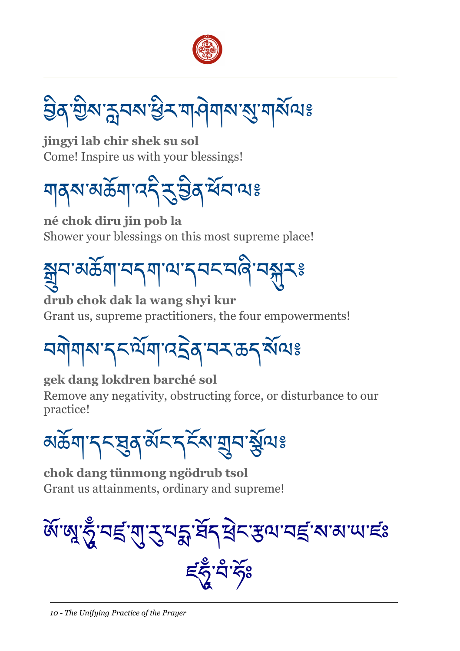

བྱིན་གྱིས་རླབས་ཕྱིར་གཤེགས་སུ་གསསོལ༔

**jingyi lab chir shek su sol** Come! Inspire us with your blessings!



**né chok diru jin pob la** Shower your blessings on this most supreme place!

<u>ଵୣୣ</u>ୢ୕ୢ୕୳୰ଽୡ୴ଌୖ୴ୠଌଌୗଌଌୗଌଌୗଌଌୗ

**drub chok dak la wang shyi kur** Grant us, supreme practitioners, the four empowerments!

<u> ঘণ্ণমাৰ মুক্তিমিত্ৰ বিদ্যালয় স্</u>

**gek dang lokdren barché sol**

Remove any negativity, obstructing force, or disturbance to our practice!

མཆོག་དང་ཐུན་མསོང་དངོས་གྲུབ་སསོལ༔

**chok dang tünmong ngödrub tsol** Grant us attainments, ordinary and supreme!



*ই*ত্ৰী উ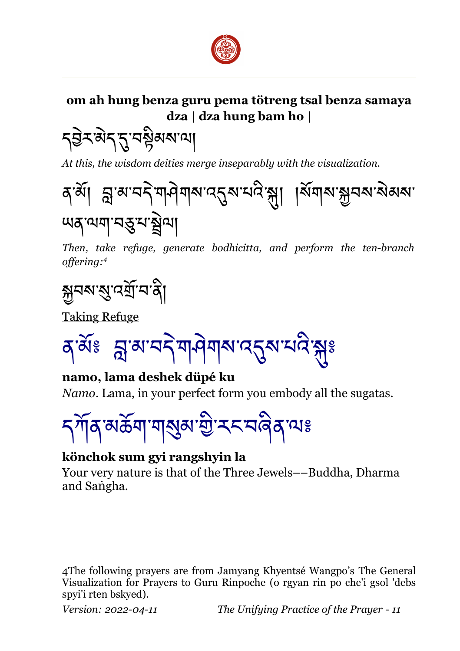

## **om ah hung benza guru pema tötreng tsal benza samaya dza | dza hung bam ho |**

<u></u><br>১৯৯২ বৰ্ষৰ বি

*At this, the wisdom deities merge inseparably with the visualization.*



*Then, take refuge, generate bodhicitta, and perform the ten-branch offering:[4](#page-10-0)*

<u>ক</u>্সবৰ্মস্থে'বৰ্ম্ৰ'ব'ৰ্বা

Taking Refuge

<u>ব্জিঃ ন্লুৰামইমানীৰ অৱস্থাত্ৰ স্ক্ৰী</u>

**namo, lama deshek düpé ku** *Namo*. Lama, in your perfect form you embody all the sugatas.



#### **könchok sum gyi rangshyin la**

Your very nature is that of the Three Jewels––Buddha, Dharma and Sangha.

<span id="page-10-0"></span>4The following prayers are from Jamyang Khyentsé Wangpo's The General Visualization for Prayers to Guru Rinpoche (o rgyan rin po che'i gsol 'debs spyi'i rten bskyed).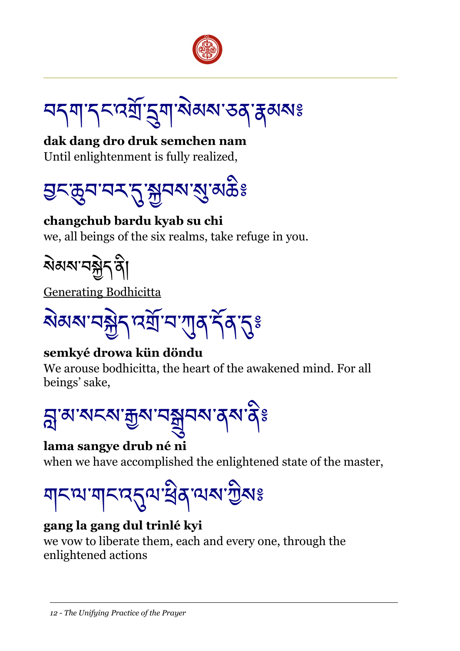

<u>ঘ্</u>ব্ৰাণ্ড্ৰম্মুইমাজিৰাজ্য স্তৰ্জুৰ সং

**dak dang dro druk semchen nam** Until enlightenment is fully realized,



**changchub bardu kyab su chi** we, all beings of the six realms, take refuge in you.

སེམས་བསྐྱེད་ནི།

Generating Bodhicitta

ষ্টিম অক্টার অর্থান শ্যেষ্ট বির্তিষ্ট

## **semkyé drowa kün döndu**

We arouse bodhicitta, the heart of the awakened mind. For all beings' sake,



## **lama sangye drub né ni**

when we have accomplished the enlightened state of the master,

གང་ལ་གང་འདུལ་ཕྲིན་ལས་ཀྱིས༔

# **gang la gang dul trinlé kyi**

we vow to liberate them, each and every one, through the enlightened actions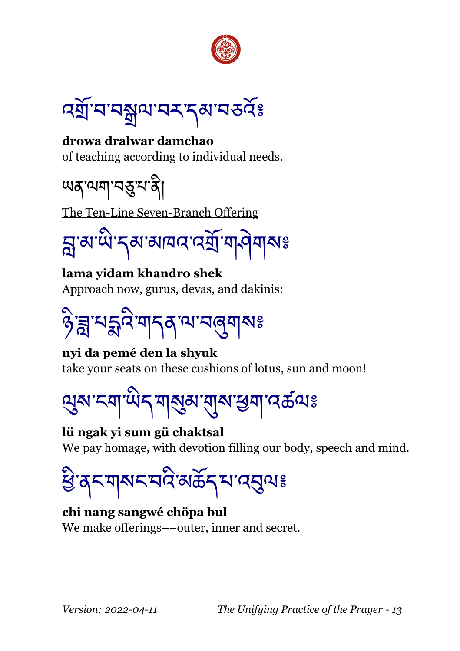

বর্ষ্রাম্মষুণমেম্ব্রম্ভে

**drowa dralwar damchao** of teaching according to individual needs.

ཡན་ལག་བཅུ་པ་ནི།

The Ten-Line Seven-Branch Offering

$$
\mathfrak{A}^{\mathsf{ra}}\mathfrak{a}^{\mathsf{ra}}\mathfrak{a}^{\mathsf{ra}}
$$

**lama yidam khandro shek** Approach now, gurus, devas, and dakinis:

ཉི་ཟླ་པདྨའི་གདན་ལ་བཞུགས༔

**nyi da pemé den la shyuk** take your seats on these cushions of lotus, sun and moon!

ལུས་ངག་ཡིད་གསུམ་གུས་ཕྱག་འཚལ༔

**lü ngak yi sum gü chaktsal** We pay homage, with devotion filling our body, speech and mind.

ཕྱི་ནང་གསང་བའི་མཆོད་པ་འབུལ༔

**chi nang sangwé chöpa bul** We make offerings––outer, inner and secret.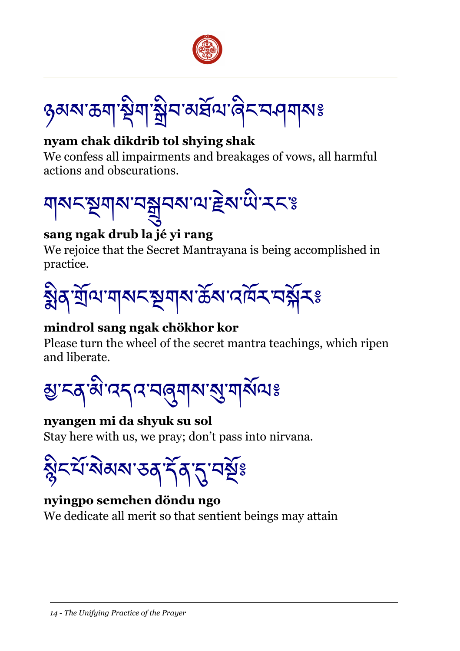

ঙ্গৰুৰাজ্যৰ ষ্ট্ৰীন প্ৰস্থা প্ৰদেশ বিদ্যালয়ঃ

## **nyam chak dikdrib tol shying shak**

We confess all impairments and breakages of vows, all harmful actions and obscurations.



# **sang ngak drub la jé yi rang**

We rejoice that the Secret Mantrayana is being accomplished in practice.



# **mindrol sang ngak chökhor kor**

Please turn the wheel of the secret mantra teachings, which ripen and liberate.



#### **nyangen mi da shyuk su sol**

Stay here with us, we pray; don't pass into nirvana.



## **nyingpo semchen döndu ngo**

We dedicate all merit so that sentient beings may attain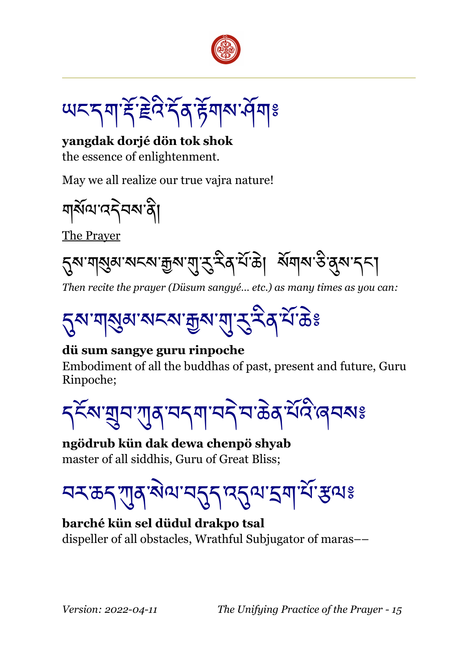

<u>౻</u>८८ শাই ইন্টইর উন্মৰ ব্রিশ

**yangdak dorjé dön tok shok** the essence of enlightenment.

May we all realize our true vajra nature!

ঘার্ষমান্বইনমান্ত্রী

The Prayer

ຽ়ম<sup>.</sup>মামুৰামনমাক্কুমাম্বাস্ত্ৰী ব্যক্তি। মঁমামাস্তীৰ্মাননা

*Then recite the prayer (Düsum sangyé… etc.) as many times as you can:*



#### **dü sum sangye guru rinpoche**

Embodiment of all the buddhas of past, present and future, Guru Rinpoche;

<u></u>ॸड़ॕॺॱয়ৣমॱग़ॖॺॱমॸॺॱমঽॆय़ॱक़ॆॺॱय़ऀय़ऀॱॿय़ॺঃ

**ngödrub kün dak dewa chenpö shyab** master of all siddhis, Guru of Great Bliss;

<u>བར་கད་</u>ཀུན་སེལ་བདུད་འདུལ་དག་པོ་རུལঃ

#### **barché kün sel düdul drakpo tsal** dispeller of all obstacles, Wrathful Subjugator of maras––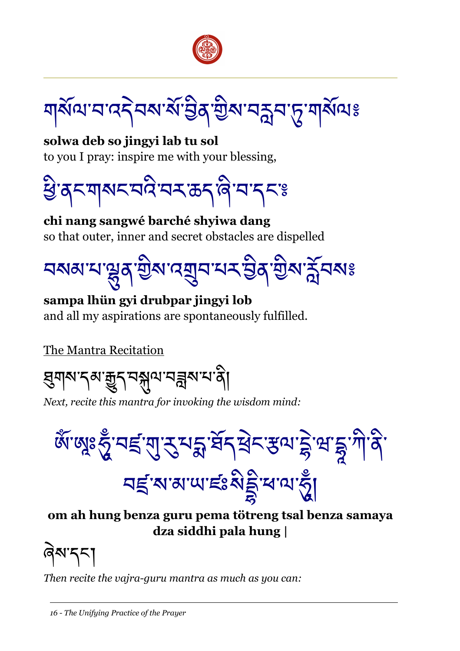

য়র্মিঅ'ন'নেইনম'র্ম'ট্রিম'ট্রম'নক্লম'দূ'মার্মাঅঃ

**solwa deb so jingyi lab tu sol** to you I pray: inspire me with your blessing,

খ্ৰিত্বনশাৰ অধিক্ষাৰ কৰি বি

**chi nang sangwé barché shyiwa dang** so that outer, inner and secret obstacles are dispelled

<u>বমৰামান্ত্ৰু</u> বুৰীয়া এৰা মুখি মুখি মুখি মুখি মুখি মুখি

**sampa lhün gyi drubpar jingyi lob** and all my aspirations are spontaneously fulfilled.

The Mantra Recitation

য়ৢয়য়ৼৗৢ৻য়ড়ৢঢ়ৢৼঢ়ড়ৢ৸ৼ৸ৼ

*Next, recite this mantra for invoking the wisdom mind:*

জ্ঞাঁজ্মঃ স্ত্ৰঁ 'বাই'ন্মুই' মুই' মুই' বি'মুক্ত মুই' মুই' মুই' মুই <u>ঘৰ্</u>ণ'ম'ম'খ'ছঃমিষ্ট্ৰ'শ'ম'ত্ৰ

**om ah hung benza guru pema tötreng tsal benza samaya dza siddhi pala hung |**

ཞེས་དང་།

*Then recite the vajra-guru mantra as much as you can:*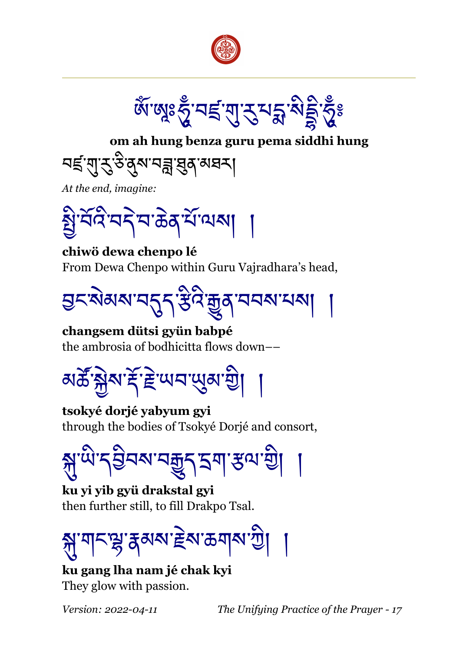



**om ah hung benza guru pema siddhi hung**

<u>ঘई'ম্'</u>ৼৢউ'র্ম'ঘক্ল'ঘ্রুর'মঘ্ম|

*At the end, imagine:*

ার্মই'নই'ম'ক্টম্ শ্রীমেকা

**chiwö dewa chenpo lé** From Dewa Chenpo within Guru Vajradhara's head,



**changsem dütsi gyün babpé** the ambrosia of bodhicitta flows down––



**tsokyé dorjé yabyum gyi** through the bodies of Tsokyé Dorjé and consort,

য়ৣ་୴ི་དབྱིབས་བརྒྱུད་དག་རུལ་གྱི།

**ku yi yib gyü drakstal gyi** then further still, to fill Drakpo Tsal.



**ku gang lha nam jé chak kyi** They glow with passion.

*Version: 2022-04-11 The Unifying Practice of the Prayer - 17*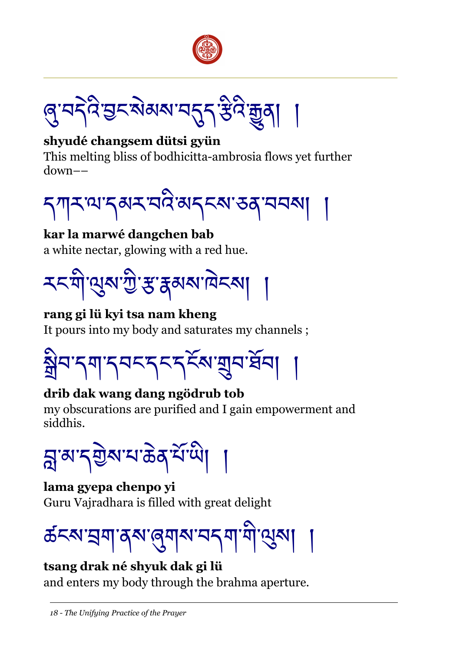



#### **shyudé changsem dütsi gyün**

This melting bliss of bodhicitta-ambrosia flows yet further down––



**kar la marwé dangchen bab** a white nectar, glowing with a red hue.



#### **rang gi lü kyi tsa nam kheng**

It pours into my body and saturates my channels ;



# **drib dak wang dang ngödrub tob**

my obscurations are purified and I gain empowerment and siddhis.

য়ৣ་མ་དརྱེས་པ་கॆན་པོ་ལེ།

# **lama gyepa chenpo yi** Guru Vajradhara is filled with great delight

# ৰ্ক্ৰম্মহ্ৰা বৰু ৰাজ্যৰ অন্যাত্মৰ বিদ্যা

## **tsang drak né shyuk dak gi lü**

and enters my body through the brahma aperture.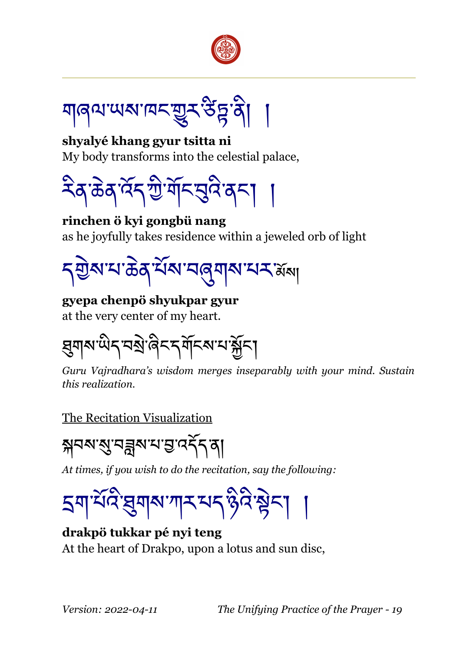

য়ৰিতা লগতে এই প্ৰতিষ্ঠা

**shyalyé khang gyur tsitta ni** My body transforms into the celestial palace,



**rinchen ö kyi gongbü nang** as he joyfully takes residence within a jeweled orb of light

<mark>ད</mark> ਗੁੇས་པ་கॆན་པོས་བའུགས་པར་མོས།

## **gyepa chenpö shyukpar gyur**

at the very center of my heart.

য়ৄয়য়ৼড়৻য়৾ৼঢ়৸ড়৸ৼ৻য়৸

*Guru Vajradhara's wisdom merges inseparably with your mind. Sustain this realization.*

## The Recitation Visualization

য়ঘম্মুমন্নুৰুম্ভেত্ত্বৰ্ত্ত্ব

*At times, if you wish to do the recitation, say the following:*

$$
\textbf{5} \textbf{4} \textbf{7} \textbf{3} \textbf{4} \textbf{5} \textbf{6} \textbf{7} \textbf{8} \textbf{8} \textbf{7} \textbf{8} \textbf{8} \textbf{8} \textbf{9} \textbf{1}
$$

**drakpö tukkar pé nyi teng** At the heart of Drakpo, upon a lotus and sun disc,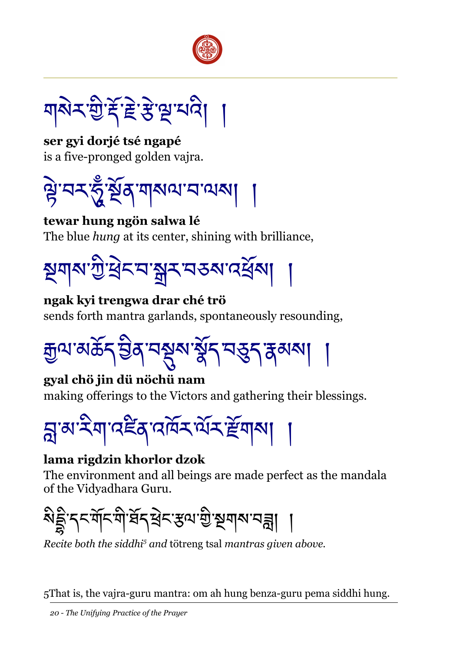

<u>য়৾য়ৼড়ৢৗৼৼ</u>ৼ৻ৼ৻ৼ

**ser gyi dorjé tsé ngapé** is a five-pronged golden vajra.



**tewar hung ngön salwa lé** The blue *hung* at its center, shining with brilliance,



**ngak kyi trengwa drar ché trö** sends forth mantra garlands, spontaneously resounding,



**gyal chö jin dü nöchü nam** making offerings to the Victors and gathering their blessings.



# **lama rigdzin khorlor dzok**

The environment and all beings are made perfect as the mandala of the Vidyadhara Guru.



*Recite both the siddhi[5](#page-19-0) and* tötreng tsal *mantras given above.*

<span id="page-19-0"></span>5That is, the vajra-guru mantra: om ah hung benza-guru pema siddhi hung.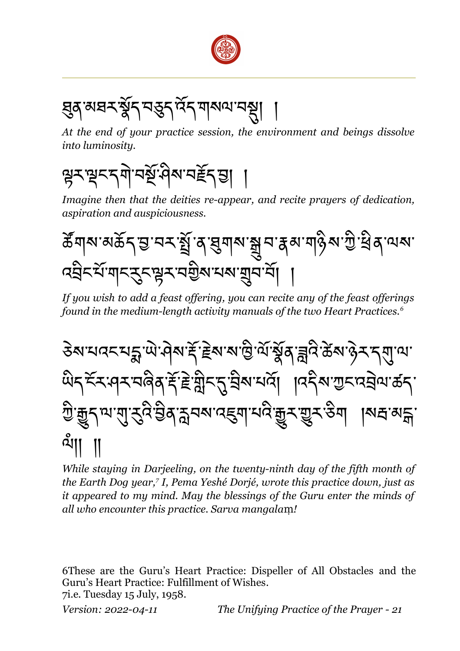

<u>ঘ</u>ূৰ্ষষহ ষ্টুন্ম্ভুন্দ্দিন্দ্ৰাৰ্থমেন্থ্ৰা

*At the end of your practice session, the environment and beings dissolve into luminosity.*

# ৠ৲ৠৼয়ৗৢৼয়ড়য়ড়৸ড়৸ৼঢ়৸

*Imagine then that the deities re-appear, and recite prayers of dedication, aspiration and auspiciousness.*

ཚསོགས་མཆོད་བ་བར་སསོ ་ན་ཐུགས་སྒྲུ བ་རྣམ་གཉིས་ཀྱི ་ཕྲིན་ལས་ འབྲིང་པསོ་གང་རུང་ལྟར་བགྱིས་པས་གྲུབ་བསོ། །

*If you wish to add a feast offering, you can recite any of the feast offerings found in the medium-length activity manuals of the two Heart Practices.[6](#page-20-0)*



*While staying in Darjeeling, on the twenty-ninth day of the fifth month of the Earth Dog year,[7](#page-20-1) I, Pema Yeshé Dorjé, wrote this practice down, just as it appeared to my mind. May the blessings of the Guru enter the minds of all who encounter this practice. Sarva mangalam!* 

<span id="page-20-0"></span>6These are the Guru's Heart Practice: Dispeller of All Obstacles and the Guru's Heart Practice: Fulfillment of Wishes. 7i.e. Tuesday 15 July, 1958.

<span id="page-20-1"></span>